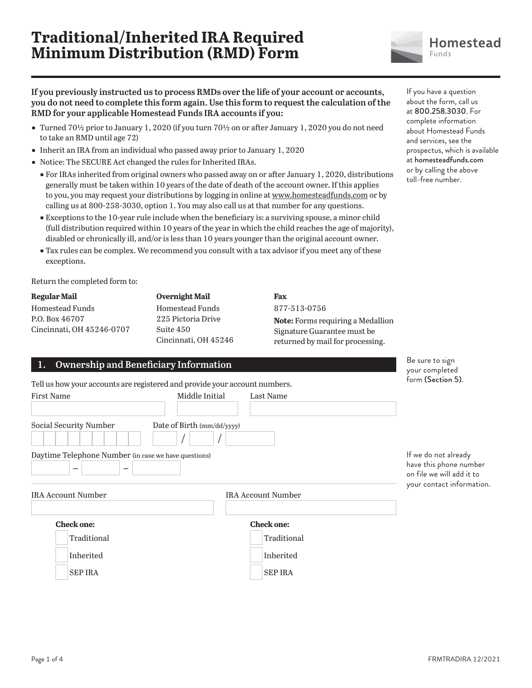# **Traditional/Inherited IRA Required Minimum Distribution (RMD) Form**



**If you previously instructed us to process RMDs over the life of your account or accounts, you do not need to complete this form again. Use this form to request the calculation of the RMD for your applicable Homestead Funds IRA accounts if you:**

- Turned 701/2 prior to January 1, 2020 (if you turn 701/2 on or after January 1, 2020 you do not need to take an RMD until age 72)
- ɕ Inherit an IRA from an individual who passed away prior to January 1, 2020
- ɕ Notice: The SECURE Act changed the rules for Inherited IRAs.
	- ɕ For IRAs inherited from original owners who passed away on or after January 1, 2020, distributions generally must be taken within 10 years of the date of death of the account owner. If this applies to you, you may request your distributions by logging in online at www.homesteadfunds.com or by calling us at 800-258-3030, option 1. You may also call us at that number for any questions.
	- **Exceptions to the 10-year rule include when the beneficiary is: a surviving spouse, a minor child** (full distribution required within 10 years of the year in which the child reaches the age of majority), disabled or chronically ill, and/or is less than 10 years younger than the original account owner.
	- **Tax rules can be complex. We recommend you consult with a tax advisor if you meet any of these** exceptions.

Return the completed form to:

| Regular Mail              |  |
|---------------------------|--|
| Homestead Funds           |  |
| P.O. Box 46707            |  |
| Cincinnati, OH 45246-0707 |  |
|                           |  |

**Overnight Mail** Homestead Funds 225 Pictoria Drive Suite 450 Cincinnati, OH 45246

877-513-0756 **Note:** Forms requiring a Medallion Signature Guarantee must be returned by mail for processing.

| Ownership and Beneficiary Information<br>1.                                           |                                                                            | De sure to sign<br>your completed                                                                        |
|---------------------------------------------------------------------------------------|----------------------------------------------------------------------------|----------------------------------------------------------------------------------------------------------|
|                                                                                       | Tell us how your accounts are registered and provide your account numbers. | form (Section 5).                                                                                        |
| <b>First Name</b>                                                                     | Middle Initial<br>Last Name                                                |                                                                                                          |
| Social Security Number                                                                | Date of Birth (mm/dd/yyyy)                                                 |                                                                                                          |
| Daytime Telephone Number (in case we have questions)<br>$\overline{\phantom{0}}$<br>- |                                                                            | If we do not already<br>have this phone number<br>on file we will add it to<br>your contact information. |
| <b>IRA Account Number</b>                                                             | <b>IRA Account Number</b>                                                  |                                                                                                          |
| <b>Check one:</b>                                                                     | <b>Check one:</b>                                                          |                                                                                                          |
| Traditional                                                                           | Traditional                                                                |                                                                                                          |
| Inherited                                                                             | Inherited                                                                  |                                                                                                          |
| <b>SEP IRA</b>                                                                        | <b>SEP IRA</b>                                                             |                                                                                                          |

**Fax**

If you have a question about the form, call us at 800.258.3030. For complete information about Homestead Funds and services, see the prospectus, which is available at homesteadfunds.com or by calling the above toll-free number.

Be sure to sign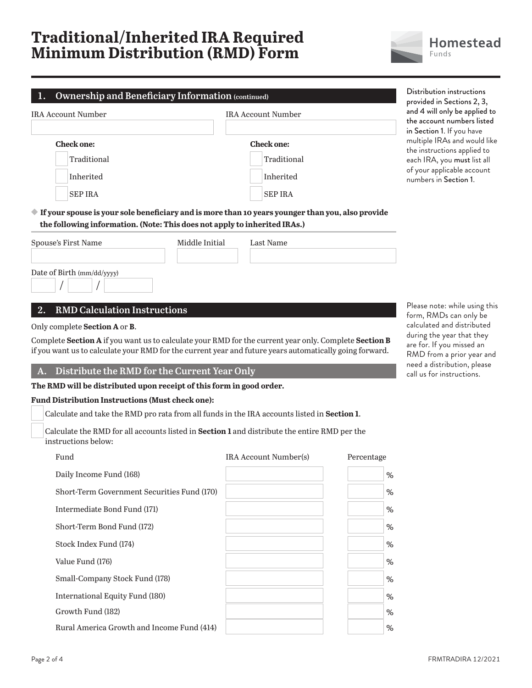# **Traditional/Inherited IRA Required Minimum Distribution (RMD) Form**



| <b>Ownership and Beneficiary Information (continued)</b><br>1.            |                |                                                                                                                  | Distribution instructions<br>provided in Sections 2, 3,                                                                                                                        |
|---------------------------------------------------------------------------|----------------|------------------------------------------------------------------------------------------------------------------|--------------------------------------------------------------------------------------------------------------------------------------------------------------------------------|
| <b>IRA Account Number</b>                                                 |                | <b>IRA Account Number</b>                                                                                        | and 4 will only be applied to<br>the account numbers listed                                                                                                                    |
| <b>Check one:</b><br>Traditional<br>Inherited<br><b>SEP IRA</b>           |                | <b>Check one:</b><br>Traditional<br>Inherited<br><b>SEP IRA</b>                                                  | in Section 1. If you have<br>multiple IRAs and would like<br>the instructions applied to<br>each IRA, you must list all<br>of your applicable account<br>numbers in Section 1. |
| the following information. (Note: This does not apply to inherited IRAs.) |                | $\blacklozenge$ If your spouse is your sole beneficiary and is more than 10 years younger than you, also provide |                                                                                                                                                                                |
| Spouse's First Name                                                       | Middle Initial | Last Name                                                                                                        |                                                                                                                                                                                |
| Date of Birth (mm/dd/yyyy)                                                |                |                                                                                                                  |                                                                                                                                                                                |
| <b>RMD Calculation Instructions</b><br>2.                                 |                |                                                                                                                  | Please note: while using this<br>form, RMDs can only be                                                                                                                        |
| Only complete Section A or B.                                             |                | Complete Section A if you want us to calculate your RMD for the current year only. Complete Section B            | calculated and distributed<br>during the year that they                                                                                                                        |
|                                                                           |                | if you want us to calculate your RMD for the current year and future years automatically going forward.          | are for. If you missed an<br>$DMD$ from a prior user and                                                                                                                       |

**A. Distribute the RMD for the Current Year Only**

**The RMD will be distributed upon receipt of this form in good order.** 

#### **Fund Distribution Instructions (Must check one):**

Calculate and take the RMD pro rata from all funds in the IRA accounts listed in **Section 1**.

 Calculate the RMD for all accounts listed in **Section 1** and distribute the entire RMD per the instructions below:

| Fund                                        | <b>IRA</b> Account Number(s) | Percentage |
|---------------------------------------------|------------------------------|------------|
| Daily Income Fund (168)                     |                              | $\%$       |
| Short-Term Government Securities Fund (170) |                              | $\%$       |
| Intermediate Bond Fund (171)                |                              | %          |
| Short-Term Bond Fund (172)                  |                              | %          |
| Stock Index Fund (174)                      |                              | %          |
| Value Fund (176)                            |                              | %          |
| Small-Company Stock Fund (178)              |                              | %          |
| International Equity Fund (180)             |                              | %          |
| Growth Fund (182)                           |                              | %          |
| Rural America Growth and Income Fund (414)  |                              | %          |
|                                             |                              |            |

ng this be uted hey are for. If you missed an RMD from a prior year and need a distribution, please call us for instructions.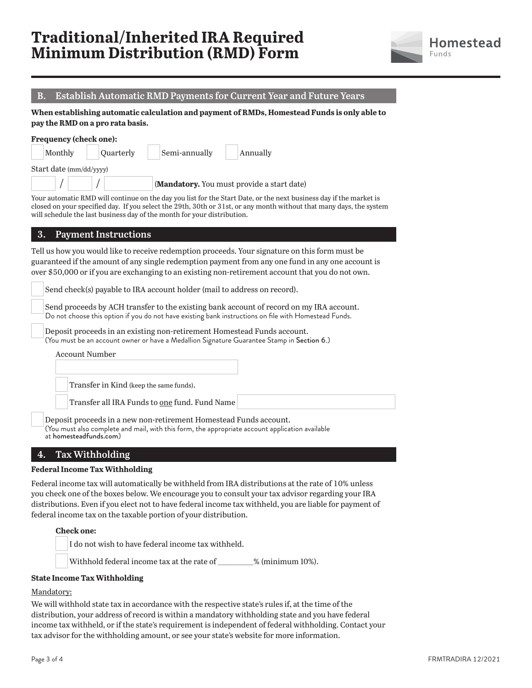# **Traditional/Inherited IRA Required Minimum Distribution (RMD) Form**



## **B. Establish Automatic RMD Payments for Current Year and Future Years**

**When establishing automatic calculation and payment of RMDs, Homestead Funds is only able to pay the RMD on a pro rata basis.**

| Monthly                 | Quarterly | Semi-annually | Annually |
|-------------------------|-----------|---------------|----------|
|                         |           |               |          |
| Start date (mm/dd/yyyy) |           |               |          |

Your automatic RMD will continue on the day you list for the Start Date, or the next business day if the market is closed on your specified day. If you select the 29th, 30th or 31st, or any month without that many days, the system will schedule the last business day of the month for your distribution.

### **3. Payment Instructions**

Tell us how you would like to receive redemption proceeds. Your signature on this form must be guaranteed if the amount of any single redemption payment from any one fund in any one account is over \$50,000 or if you are exchanging to an existing non-retirement account that you do not own.

Send check(s) payable to IRA account holder (mail to address on record).

 Send proceeds by ACH transfer to the existing bank account of record on my IRA account. Do not choose this option if you do not have existing bank instructions on file with Homestead Funds.

 Deposit proceeds in an existing non-retirement Homestead Funds account. (You must be an account owner or have a Medallion Signature Guarantee Stamp in Section 6.)

Account Number

Transfer in Kind (keep the same funds).

Transfer all IRA Funds to one fund. Fund Name

 Deposit proceeds in a new non-retirement Homestead Funds account. (You must also complete and mail, with this form, the appropriate account application available at homesteadfunds.com)

## **4. Tax Withholding**

#### **Federal Income Tax Withholding**

Federal income tax will automatically be withheld from IRA distributions at the rate of 10% unless you check one of the boxes below. We encourage you to consult your tax advisor regarding your IRA distributions. Even if you elect not to have federal income tax withheld, you are liable for payment of federal income tax on the taxable portion of your distribution.

#### **Check one:**

I do not wish to have federal income tax withheld.

Withhold federal income tax at the rate of  $\%$  (minimum 10%).

#### **State Income Tax Withholding**

### Mandatory:

We will withhold state tax in accordance with the respective state's rules if, at the time of the distribution, your address of record is within a mandatory withholding state and you have federal income tax withheld, or if the state's requirement is independent of federal withholding. Contact your tax advisor for the withholding amount, or see your state's website for more information.